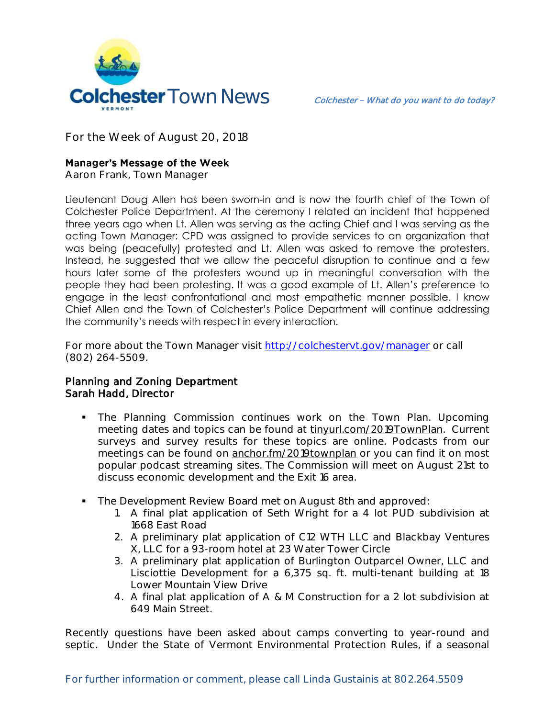

**For the Week of August 20, 2018**

## **Manager's Message of the Week**

**Aaron Frank, Town Manager**

Lieutenant Doug Allen has been sworn-in and is now the fourth chief of the Town of Colchester Police Department. At the ceremony I related an incident that happened three years ago when Lt. Allen was serving as the acting Chief and I was serving as the acting Town Manager: CPD was assigned to provide services to an organization that was being (peacefully) protested and Lt. Allen was asked to remove the protesters. Instead, he suggested that we allow the peaceful disruption to continue and a few hours later some of the protesters wound up in meaningful conversation with the people they had been protesting. It was a good example of Lt. Allen's preference to engage in the least confrontational and most empathetic manner possible. I know Chief Allen and the Town of Colchester's Police Department will continue addressing the community's needs with respect in every interaction.

For more about the Town Manager visit<http://colchestervt.gov/manager> or call (802) 264-5509.

## Planning and Zoning Department Sarah Hadd, Director

- **The Planning Commission continues work on the Town Plan. Upcoming** meeting dates and topics can be found at tinyurl.com/2019TownPlan. Current surveys and survey results for these topics are online. Podcasts from our meetings can be found on anchor.fm/2019townplan or you can find it on most popular podcast streaming sites. The Commission will meet on August 21st to discuss economic development and the Exit 16 area.
- The Development Review Board met on August 8th and approved:
	- 1. A final plat application of Seth Wright for a 4 lot PUD subdivision at 1668 East Road
	- 2. A preliminary plat application of C12 WTH LLC and Blackbay Ventures X, LLC for a 93-room hotel at 23 Water Tower Circle
	- 3. A preliminary plat application of Burlington Outparcel Owner, LLC and Lisciottie Development for a 6,375 sq. ft. multi-tenant building at 18 Lower Mountain View Drive
	- 4. A final plat application of A & M Construction for a 2 lot subdivision at 649 Main Street.

Recently questions have been asked about camps converting to year-round and septic. Under the State of Vermont Environmental Protection Rules, if a seasonal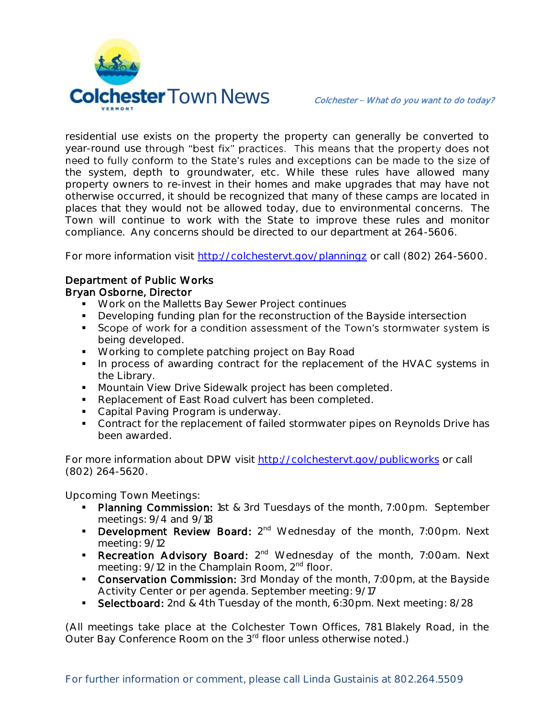

residential use exists on the property the property can generally be converted to year-round use through "best fix" practices. This means that the property does not need to fully conform to the State's rules and exceptions can be made to the size of the system, depth to groundwater, etc. While these rules have allowed many property owners to re-invest in their homes and make upgrades that may have not otherwise occurred, it should be recognized that many of these camps are located in places that they would not be allowed today, due to environmental concerns. The Town will continue to work with the State to improve these rules and monitor compliance. Any concerns should be directed to our department at 264-5606.

For more information visit<http://colchestervt.gov/planningz> or call (802) 264-5600.

## Department of Public Works

## Bryan Osborne, Director

- **Work on the Malletts Bay Sewer Project continues**
- **Developing funding plan for the reconstruction of the Bayside intersection**
- Scope of work for a condition assessment of the Town's stormwater system is being developed.
- **Working to complete patching project on Bay Road**
- In process of awarding contract for the replacement of the HVAC systems in the Library.
- **Mountain View Drive Sidewalk project has been completed.**
- Replacement of East Road culvert has been completed.
- Capital Paving Program is underway.
- **Contract for the replacement of failed stormwater pipes on Reynolds Drive has** been awarded.

For more information about DPW visit<http://colchestervt.gov/publicworks> or call (802) 264-5620.

**Upcoming Town Meetings:** 

- Planning Commission: 1st & 3rd Tuesdays of the month, 7:00pm. September meetings: 9/4 and 9/18
- Development Review Board: 2<sup>nd</sup> Wednesday of the month, 7:00pm. Next meeting: 9/12
- Recreation Advisory Board: 2<sup>nd</sup> Wednesday of the month, 7:00am. Next meeting: 9/12 in the Champlain Room, 2<sup>nd</sup> floor.
- **Conservation Commission:** 3rd Monday of the month, 7:00pm, at the Bayside Activity Center or per agenda. September meeting: 9/17
- Selectboard: 2nd & 4th Tuesday of the month, 6:30pm. Next meeting: 8/28

(All meetings take place at the Colchester Town Offices, 781 Blakely Road, in the Outer Bay Conference Room on the 3<sup>rd</sup> floor unless otherwise noted.)